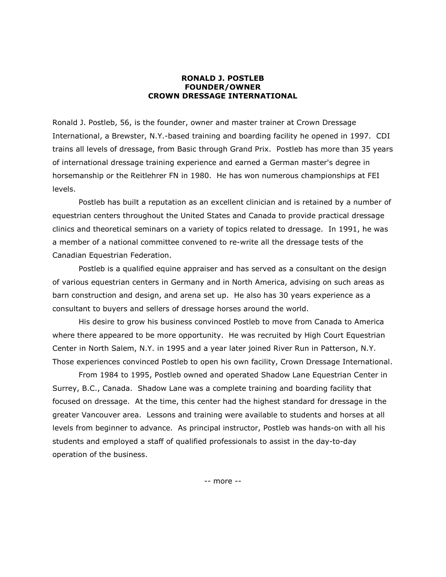## **RONALD J. POSTLEB FOUNDER/OWNER CROWN DRESSAGE INTERNATIONAL**

Ronald J. Postleb, 56, is the founder, owner and master trainer at Crown Dressage International, a Brewster, N.Y.-based training and boarding facility he opened in 1997. CDI trains all levels of dressage, from Basic through Grand Prix. Postleb has more than 35 years of international dressage training experience and earned a German master's degree in horsemanship or the Reitlehrer FN in 1980. He has won numerous championships at FEI levels.

Postleb has built a reputation as an excellent clinician and is retained by a number of equestrian centers throughout the United States and Canada to provide practical dressage clinics and theoretical seminars on a variety of topics related to dressage. In 1991, he was a member of a national committee convened to re-write all the dressage tests of the Canadian Equestrian Federation.

Postleb is a qualified equine appraiser and has served as a consultant on the design of various equestrian centers in Germany and in North America, advising on such areas as barn construction and design, and arena set up. He also has 30 years experience as a consultant to buyers and sellers of dressage horses around the world.

His desire to grow his business convinced Postleb to move from Canada to America where there appeared to be more opportunity. He was recruited by High Court Equestrian Center in North Salem, N.Y. in 1995 and a year later joined River Run in Patterson, N.Y. Those experiences convinced Postleb to open his own facility, Crown Dressage International.

From 1984 to 1995, Postleb owned and operated Shadow Lane Equestrian Center in Surrey, B.C., Canada. Shadow Lane was a complete training and boarding facility that focused on dressage. At the time, this center had the highest standard for dressage in the greater Vancouver area. Lessons and training were available to students and horses at all levels from beginner to advance. As principal instructor, Postleb was hands-on with all his students and employed a staff of qualified professionals to assist in the day-to-day operation of the business.

-- more --